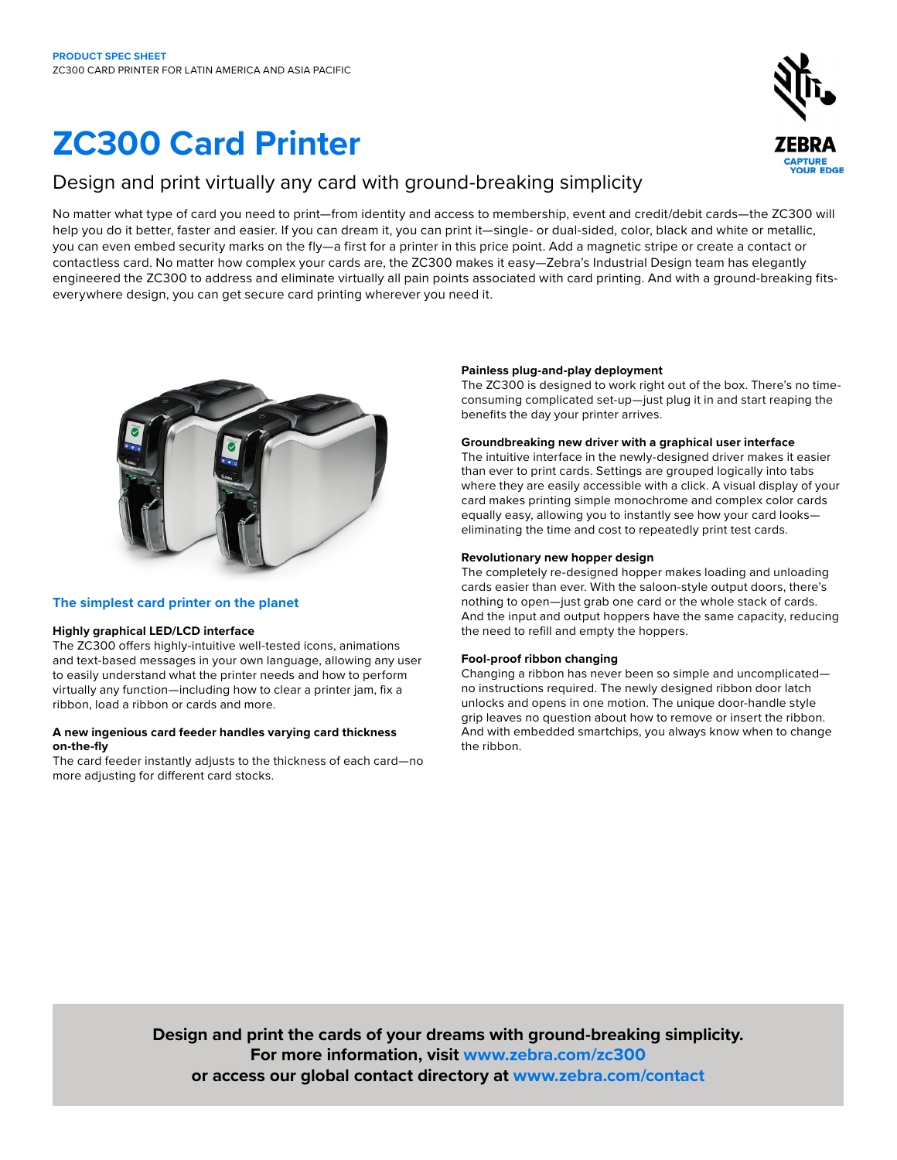# **ZC300 Card Printer**

### Design and print virtually any card with ground-breaking simplicity

No matter what type of card you need to print—from identity and access to membership, event and credit/debit cards—the ZC300 will help you do it better, faster and easier. If you can dream it, you can print it—single- or dual-sided, color, black and white or metallic, you can even embed security marks on the fly—a first for a printer in this price point. Add a magnetic stripe or create a contact or contactless card. No matter how complex your cards are, the ZC300 makes it easy—Zebra's Industrial Design team has elegantly engineered the ZC300 to address and eliminate virtually all pain points associated with card printing. And with a ground-breaking fitseverywhere design, you can get secure card printing wherever you need it.



### **The simplest card printer on the planet**

#### **Highly graphical LED/LCD interface**

The ZC300 offers highly-intuitive well-tested icons, animations and text-based messages in your own language, allowing any user to easily understand what the printer needs and how to perform virtually any function—including how to clear a printer jam, fix a ribbon, load a ribbon or cards and more.

#### **A new ingenious card feeder handles varying card thickness on-the-fly**

The card feeder instantly adjusts to the thickness of each card—no more adjusting for different card stocks.

#### **Painless plug-and-play deployment**

The ZC300 is designed to work right out of the box. There's no timeconsuming complicated set-up—just plug it in and start reaping the benefits the day your printer arrives.

#### **Groundbreaking new driver with a graphical user interface**

The intuitive interface in the newly-designed driver makes it easier than ever to print cards. Settings are grouped logically into tabs where they are easily accessible with a click. A visual display of your card makes printing simple monochrome and complex color cards equally easy, allowing you to instantly see how your card looks eliminating the time and cost to repeatedly print test cards.

#### **Revolutionary new hopper design**

The completely re-designed hopper makes loading and unloading cards easier than ever. With the saloon-style output doors, there's nothing to open—just grab one card or the whole stack of cards. And the input and output hoppers have the same capacity, reducing the need to refill and empty the hoppers.

#### **Fool-proof ribbon changing**

Changing a ribbon has never been so simple and uncomplicated no instructions required. The newly designed ribbon door latch unlocks and opens in one motion. The unique door-handle style grip leaves no question about how to remove or insert the ribbon. And with embedded smartchips, you always know when to change the ribbon.

**Design and print the cards of your dreams with ground-breaking simplicity. For more information, visit www.zebra.com/zc300 or access our global contact directory at www.zebra.com/contact**

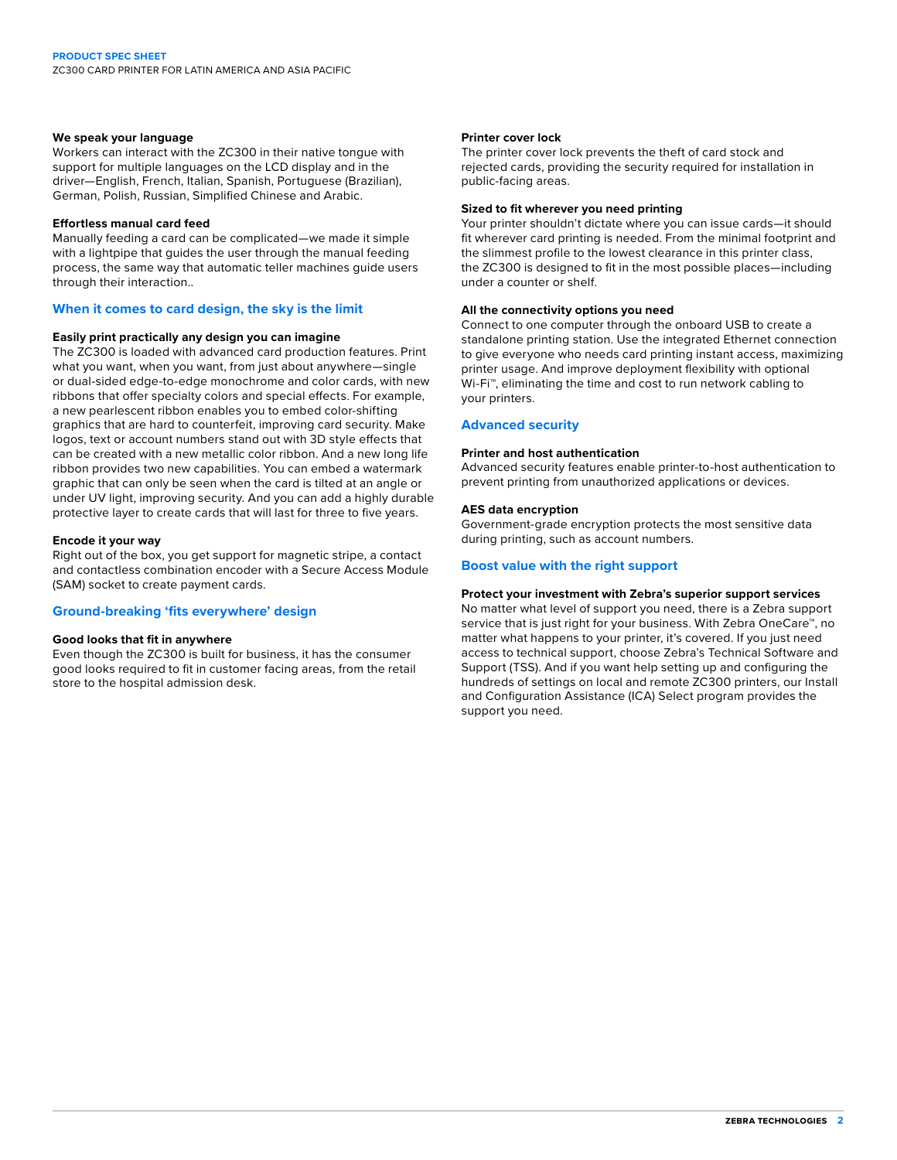#### **We speak your language**

Workers can interact with the ZC300 in their native tongue with support for multiple languages on the LCD display and in the driver—English, French, Italian, Spanish, Portuguese (Brazilian), German, Polish, Russian, Simplified Chinese and Arabic.

#### **Effortless manual card feed**

Manually feeding a card can be complicated—we made it simple with a lightpipe that guides the user through the manual feeding process, the same way that automatic teller machines guide users through their interaction..

#### **When it comes to card design, the sky is the limit**

#### **Easily print practically any design you can imagine**

The ZC300 is loaded with advanced card production features. Print what you want, when you want, from just about anywhere—single or dual-sided edge-to-edge monochrome and color cards, with new ribbons that offer specialty colors and special effects. For example, a new pearlescent ribbon enables you to embed color-shifting graphics that are hard to counterfeit, improving card security. Make logos, text or account numbers stand out with 3D style effects that can be created with a new metallic color ribbon. And a new long life ribbon provides two new capabilities. You can embed a watermark graphic that can only be seen when the card is tilted at an angle or under UV light, improving security. And you can add a highly durable protective layer to create cards that will last for three to five years.

#### **Encode it your way**

Right out of the box, you get support for magnetic stripe, a contact and contactless combination encoder with a Secure Access Module (SAM) socket to create payment cards.

#### **Ground-breaking 'fits everywhere' design**

#### **Good looks that fit in anywhere**

Even though the ZC300 is built for business, it has the consumer good looks required to fit in customer facing areas, from the retail store to the hospital admission desk.

#### **Printer cover lock**

The printer cover lock prevents the theft of card stock and rejected cards, providing the security required for installation in public-facing areas.

#### **Sized to fit wherever you need printing**

Your printer shouldn't dictate where you can issue cards—it should fit wherever card printing is needed. From the minimal footprint and the slimmest profile to the lowest clearance in this printer class, the ZC300 is designed to fit in the most possible places—including under a counter or shelf.

#### **All the connectivity options you need**

Connect to one computer through the onboard USB to create a standalone printing station. Use the integrated Ethernet connection to give everyone who needs card printing instant access, maximizing printer usage. And improve deployment flexibility with optional Wi-Fi™, eliminating the time and cost to run network cabling to your printers.

#### **Advanced security**

#### **Printer and host authentication**

Advanced security features enable printer-to-host authentication to prevent printing from unauthorized applications or devices.

#### **AES data encryption**

Government-grade encryption protects the most sensitive data during printing, such as account numbers.

#### **Boost value with the right support**

#### **Protect your investment with Zebra's superior support services**

No matter what level of support you need, there is a Zebra support service that is just right for your business. With Zebra OneCare™, no matter what happens to your printer, it's covered. If you just need access to technical support, choose Zebra's Technical Software and Support (TSS). And if you want help setting up and configuring the hundreds of settings on local and remote ZC300 printers, our Install and Configuration Assistance (ICA) Select program provides the support you need.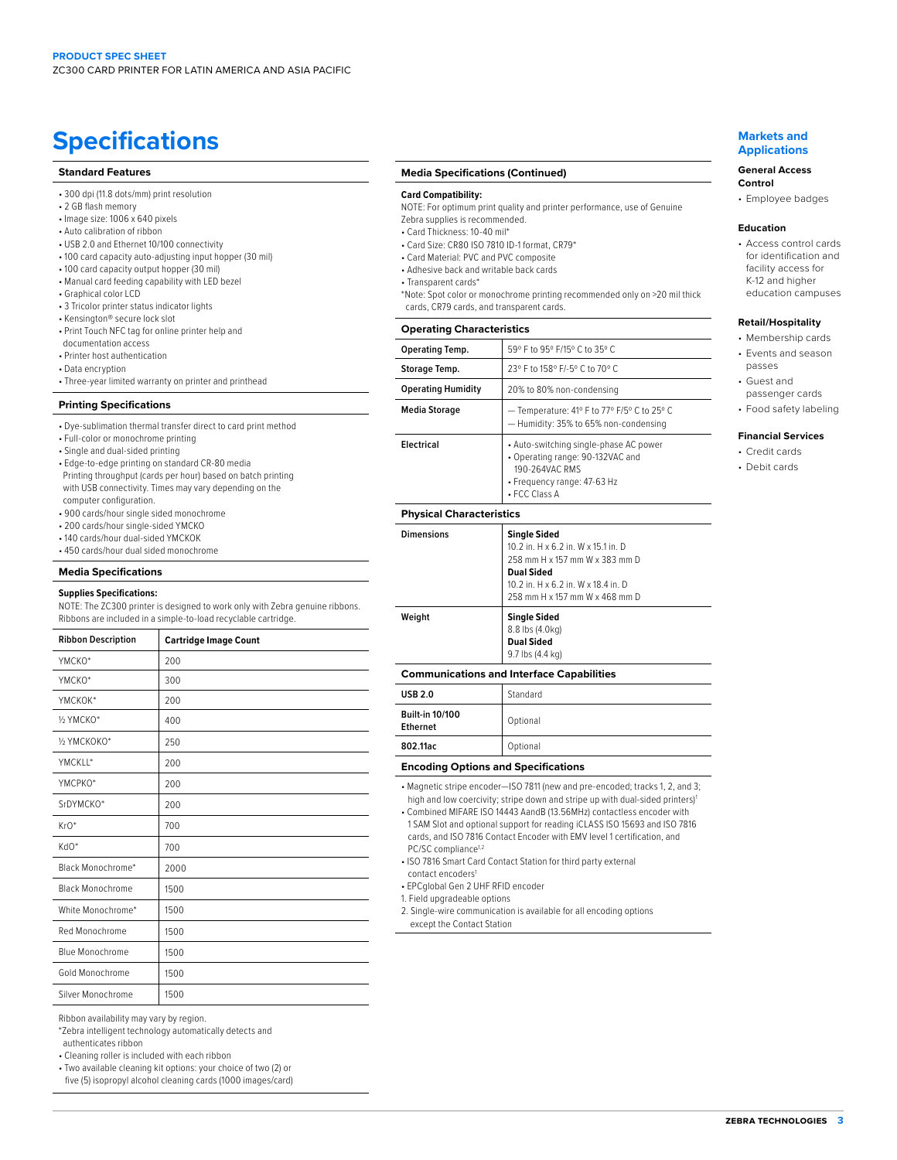## **Specifications Markets and** <br> **Specifications**

#### **Standard Features**

- 300 dpi (11.8 dots/mm) print resolution
- 2 GB flash memory
- Image size: 1006 x 640 pixels
- Auto calibration of ribbon
- USB 2.0 and Ethernet 10/100 connectivity
- 100 card capacity auto-adjusting input hopper (30 mil)
- 100 card capacity output hopper (30 mil)
- Manual card feeding capability with LED bezel
- Graphical color LCD
- 3 Tricolor printer status indicator lights
- Kensington® secure lock slot
- Print Touch NFC tag for online printer help and documentation access
- Printer host authentication
- Data encryption
- Three-year limited warranty on printer and printhead

#### **Printing Specifications**

- Dye-sublimation thermal transfer direct to card print method
- Full-color or monochrome printing
- Single and dual-sided printing
- Edge-to-edge printing on standard CR-80 media Printing throughput (cards per hour) based on batch printing with USB connectivity. Times may vary depending on the computer configuration.
- 900 cards/hour single sided monochrome
- 200 cards/hour single-sided YMCKO
- 140 cards/hour dual-sided YMCKOK
- 450 cards/hour dual sided monochrome

#### **Media Specifications**

#### **Supplies Specifications:**

NOTE: The ZC300 printer is designed to work only with Zebra genuine ribbons. Ribbons are included in a simple-to-load recyclable cartridge.

| <b>Ribbon Description</b> | <b>Cartridge Image Count</b> |
|---------------------------|------------------------------|
| YMCKO*                    | 200                          |
| YMCKO*                    | 300                          |
| YMCKOK*                   | 200                          |
| 1/2 YMCKO*                | 400                          |
| 1/2 YMCKOKO*              | 250                          |
| YMCKII*                   | 200                          |
| YMCPKO*                   | 200                          |
| SrDYMCKO*                 | 200                          |
| $KrO*$                    | 700                          |
| KdO*                      | 700                          |
| Black Monochrome*         | 2000                         |
| <b>Black Monochrome</b>   | 1500                         |
| White Monochrome*         | 1500                         |
| Red Monochrome            | 1500                         |
| <b>Blue Monochrome</b>    | 1500                         |
| Gold Monochrome           | 1500                         |
| Silver Monochrome         | 1500                         |

Ribbon availability may vary by region.

\*Zebra intelligent technology automatically detects and authenticates ribbon

• Cleaning roller is included with each ribbon

• Two available cleaning kit options: your choice of two (2) or

five (5) isopropyl alcohol cleaning cards (1000 images/card)

#### **Media Specifications (Continued)**

#### **Card Compatibility:**

- NOTE: For optimum print quality and printer performance, use of Genuine Zebra supplies is recommended.
- Card Thickness: 10-40 mil\*
- Card Size: CR80 ISO 7810 ID-1 format, CR79\*
- Card Material: PVC and PVC composite
- Adhesive back and writable back cards
- Transparent cards\*
- \*Note: Spot color or monochrome printing recommended only on >20 mil thick cards, CR79 cards, and transparent cards.

| <b>Operating Characteristics</b> |                                                                                                                                              |  |
|----------------------------------|----------------------------------------------------------------------------------------------------------------------------------------------|--|
| Operating Temp.                  | 59° F to 95° F/15° C to 35° C                                                                                                                |  |
| Storage Temp.                    | 23° F to 158° F/-5° C to 70° C                                                                                                               |  |
| Operating Humidity               | 20% to 80% non-condensing                                                                                                                    |  |
| Media Storage                    | - Temperature: 41° F to 77° F/5° C to 25° C<br>- Humidity: 35% to 65% non-condensing                                                         |  |
| Electrical                       | • Auto-switching single-phase AC power<br>• Operating range: 90-132VAC and<br>190-264VAC RMS<br>• Frequency range: 47-63 Hz<br>• FCC Class A |  |
| <b>Physical Characteristics</b>  |                                                                                                                                              |  |
| <b>Dimensions</b>                | <b>Single Sided</b>                                                                                                                          |  |

#### **Physical Characteristics**

**Weight** 

| <b>Single Sided</b><br>10.2 in. H x 6.2 in. W x 15.1 in. D<br>258 mm H x 157 mm W x 383 mm D<br><b>Dual Sided</b><br>10.2 in. H x 6.2 in. W x 18.4 in. D<br>258 mm H x 157 mm W x 468 mm D |
|--------------------------------------------------------------------------------------------------------------------------------------------------------------------------------------------|
| <b>Single Sided</b><br>8.8 lbs (4.0kg)<br><b>Dual Sided</b><br>9.7 lbs (4.4 kg)                                                                                                            |

#### **Communications and Interface Capabilities**

| <b>USB 2.0</b>                     | Standard |
|------------------------------------|----------|
| <b>Built-in 10/100</b><br>Ethernet | Optional |
| 802.11ac                           | Optional |

#### **Encoding Options and Specifications**

- Magnetic stripe encoder—ISO 7811 (new and pre-encoded; tracks 1, 2, and 3;
- high and low coercivity; stripe down and stripe up with dual-sided printers)<sup>1</sup> • Combined MIFARE ISO 14443 AandB (13.56MHz) contactless encoder with
- 1 SAM Slot and optional support for reading iCLASS ISO 15693 and ISO 7816 cards, and ISO 7816 Contact Encoder with EMV level 1 certification, and
- PC/SC compliance<sup>1,2</sup>
- ISO 7816 Smart Card Contact Station for third party external contact encoders<sup>1</sup>
- EPCglobal Gen 2 UHF RFID encoder
- 1. Field upgradeable options
- 2. Single-wire communication is available for all encoding options except the Contact Station

### **Applications**

#### **General Access**

- **Control**
- Employee badges

#### **Education**

• Access control cards for identification and facility access for K-12 and higher education campuses

#### **Retail/Hospitality**

- Membership cards
- Events and season
- passes
- Guest and passenger cards
- Food safety labeling

#### **Financial Services**

• Credit cards • Debit cards